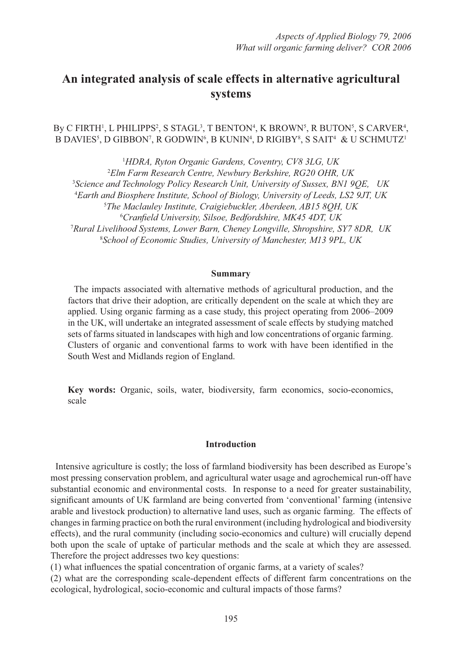# **An integrated analysis of scale effects in alternative agricultural systems**

By C FIRTH<sup>1</sup>, L PHILIPPS<sup>2</sup>, S STAGL<sup>3</sup>, T BENTON<sup>4</sup>, K BROWN<sup>5</sup>, R BUTON<sup>5</sup>, S CARVER<sup>4</sup>, B DAVIES<sup>5</sup>, D GIBBON<sup>7</sup>, R GODWIN<sup>6</sup>, B KUNIN<sup>4</sup>, D RIGIBY<sup>8</sup>, S SAIT<sup>4</sup> & U SCHMUTZ<sup>1</sup>

 *HDRA, Ryton Organic Gardens, Coventry, CV8 3LG, UK Elm Farm Research Centre, Newbury Berkshire, RG20 OHR, UK Science and Technology Policy Research Unit, University of Sussex, BN1 9QE, UK Earth and Biosphere Institute, School of Biology, University of Leeds, LS2 9JT, UK The Maclauley Institute, Craigiebuckler, Aberdeen, AB15 8QH, UK Cranfi eld University, Silsoe, Bedfordshire, MK45 4DT, UK Rural Livelihood Systems, Lower Barn, Cheney Longville, Shropshire, SY7 8DR, UK School of Economic Studies, University of Manchester, M13 9PL, UK*

## **Summary**

 The impacts associated with alternative methods of agricultural production, and the factors that drive their adoption, are critically dependent on the scale at which they are applied. Using organic farming as a case study, this project operating from 2006–2009 in the UK, will undertake an integrated assessment of scale effects by studying matched sets of farms situated in landscapes with high and low concentrations of organic farming. Clusters of organic and conventional farms to work with have been identified in the South West and Midlands region of England.

**Key words:** Organic, soils, water, biodiversity, farm economics, socio-economics, scale

#### **Introduction**

 Intensive agriculture is costly; the loss of farmland biodiversity has been described as Europe's most pressing conservation problem, and agricultural water usage and agrochemical run-off have substantial economic and environmental costs. In response to a need for greater sustainability, significant amounts of UK farmland are being converted from 'conventional' farming (intensive arable and livestock production) to alternative land uses, such as organic farming. The effects of changes in farming practice on both the rural environment (including hydrological and biodiversity effects), and the rural community (including socio-economics and culture) will crucially depend both upon the scale of uptake of particular methods and the scale at which they are assessed. Therefore the project addresses two key questions:

 $(1)$  what influences the spatial concentration of organic farms, at a variety of scales?

(2) what are the corresponding scale-dependent effects of different farm concentrations on the ecological, hydrological, socio-economic and cultural impacts of those farms?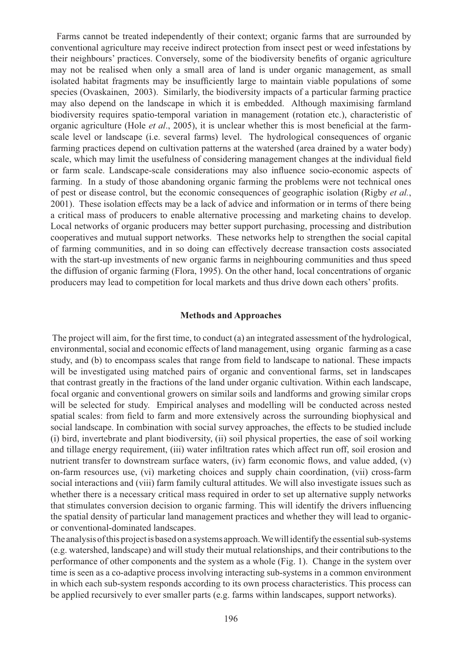Farms cannot be treated independently of their context; organic farms that are surrounded by conventional agriculture may receive indirect protection from insect pest or weed infestations by their neighbours' practices. Conversely, some of the biodiversity benefits of organic agriculture may not be realised when only a small area of land is under organic management, as small isolated habitat fragments may be insufficiently large to maintain viable populations of some species (Ovaskainen, 2003). Similarly, the biodiversity impacts of a particular farming practice may also depend on the landscape in which it is embedded. Although maximising farmland biodiversity requires spatio-temporal variation in management (rotation etc.), characteristic of organic agriculture (Hole *et al.*, 2005), it is unclear whether this is most beneficial at the farmscale level or landscape (i.e. several farms) level. The hydrological consequences of organic farming practices depend on cultivation patterns at the watershed (area drained by a water body) scale, which may limit the usefulness of considering management changes at the individual field or farm scale. Landscape-scale considerations may also influence socio-economic aspects of farming. In a study of those abandoning organic farming the problems were not technical ones of pest or disease control, but the economic consequences of geographic isolation (Rigby *et al.*, 2001). These isolation effects may be a lack of advice and information or in terms of there being a critical mass of producers to enable alternative processing and marketing chains to develop. Local networks of organic producers may better support purchasing, processing and distribution cooperatives and mutual support networks. These networks help to strengthen the social capital of farming communities, and in so doing can effectively decrease transaction costs associated with the start-up investments of new organic farms in neighbouring communities and thus speed the diffusion of organic farming (Flora, 1995). On the other hand, local concentrations of organic producers may lead to competition for local markets and thus drive down each others' profits.

# **Methods and Approaches**

The project will aim, for the first time, to conduct  $(a)$  an integrated assessment of the hydrological, environmental, social and economic effects of land management, using organic farming as a case study, and (b) to encompass scales that range from field to landscape to national. These impacts will be investigated using matched pairs of organic and conventional farms, set in landscapes that contrast greatly in the fractions of the land under organic cultivation. Within each landscape, focal organic and conventional growers on similar soils and landforms and growing similar crops will be selected for study. Empirical analyses and modelling will be conducted across nested spatial scales: from field to farm and more extensively across the surrounding biophysical and social landscape. In combination with social survey approaches, the effects to be studied include (i) bird, invertebrate and plant biodiversity, (ii) soil physical properties, the ease of soil working and tillage energy requirement, (iii) water infiltration rates which affect run off, soil erosion and nutrient transfer to downstream surface waters, (iv) farm economic flows, and value added,  $(v)$ on-farm resources use, (vi) marketing choices and supply chain coordination, (vii) cross-farm social interactions and (viii) farm family cultural attitudes. We will also investigate issues such as whether there is a necessary critical mass required in order to set up alternative supply networks that stimulates conversion decision to organic farming. This will identify the drivers influencing the spatial density of particular land management practices and whether they will lead to organicor conventional-dominated landscapes.

The analysis of this project is based on a systems approach. We will identify the essential sub-systems (e.g. watershed, landscape) and will study their mutual relationships, and their contributions to the performance of other components and the system as a whole (Fig. 1). Change in the system over time is seen as a co-adaptive process involving interacting sub-systems in a common environment in which each sub-system responds according to its own process characteristics. This process can be applied recursively to ever smaller parts (e.g. farms within landscapes, support networks).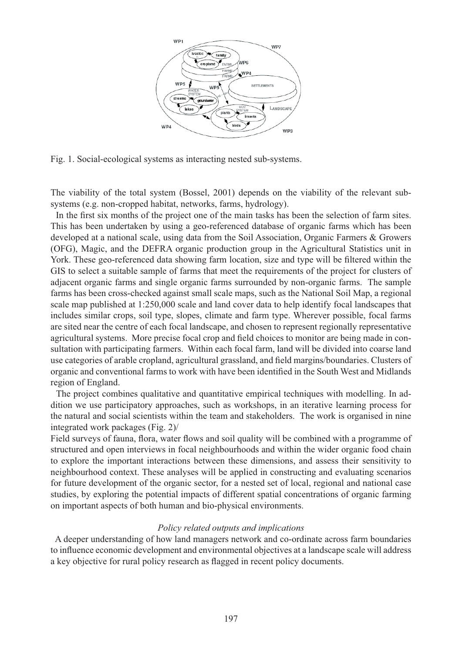

Fig. 1. Social-ecological systems as interacting nested sub-systems.

The viability of the total system (Bossel, 2001) depends on the viability of the relevant subsystems (e.g. non-cropped habitat, networks, farms, hydrology).

In the first six months of the project one of the main tasks has been the selection of farm sites. This has been undertaken by using a geo-referenced database of organic farms which has been developed at a national scale, using data from the Soil Association, Organic Farmers & Growers (OFG), Magic, and the DEFRA organic production group in the Agricultural Statistics unit in York. These geo-referenced data showing farm location, size and type will be filtered within the GIS to select a suitable sample of farms that meet the requirements of the project for clusters of adjacent organic farms and single organic farms surrounded by non-organic farms. The sample farms has been cross-checked against small scale maps, such as the National Soil Map, a regional scale map published at 1:250,000 scale and land cover data to help identify focal landscapes that includes similar crops, soil type, slopes, climate and farm type. Wherever possible, focal farms are sited near the centre of each focal landscape, and chosen to represent regionally representative agricultural systems. More precise focal crop and field choices to monitor are being made in consultation with participating farmers. Within each focal farm, land will be divided into coarse land use categories of arable cropland, agricultural grassland, and field margins/boundaries. Clusters of organic and conventional farms to work with have been identified in the South West and Midlands region of England.

 The project combines qualitative and quantitative empirical techniques with modelling. In addition we use participatory approaches, such as workshops, in an iterative learning process for the natural and social scientists within the team and stakeholders. The work is organised in nine integrated work packages (Fig. 2)/

Field surveys of fauna, flora, water flows and soil quality will be combined with a programme of structured and open interviews in focal neighbourhoods and within the wider organic food chain to explore the important interactions between these dimensions, and assess their sensitivity to neighbourhood context. These analyses will be applied in constructing and evaluating scenarios for future development of the organic sector, for a nested set of local, regional and national case studies, by exploring the potential impacts of different spatial concentrations of organic farming on important aspects of both human and bio-physical environments.

# *Policy related outputs and implications*

 A deeper understanding of how land managers network and co-ordinate across farm boundaries to influence economic development and environmental objectives at a landscape scale will address a key objective for rural policy research as flagged in recent policy documents.